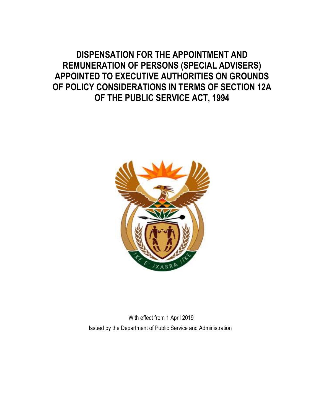# **DISPENSATION FOR THE APPOINTMENT AND REMUNERATION OF PERSONS (SPECIAL ADVISERS) APPOINTED TO EXECUTIVE AUTHORITIES ON GROUNDS OF POLICY CONSIDERATIONS IN TERMS OF SECTION 12A OF THE PUBLIC SERVICE ACT, 1994**



With effect from 1 April 2019 Issued by the Department of Public Service and Administration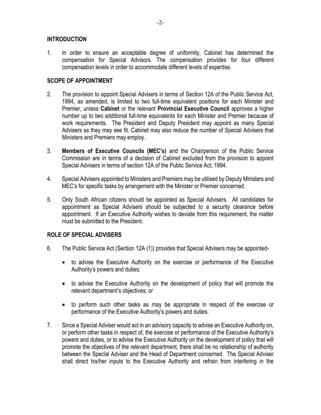# **INTRODUCTION**

1. In order to ensure an acceptable degree of uniformity, Cabinet has determined the compensation for Special Advisors. The compensation provides for four different compensation levels in order to accommodate different levels of expertise.

# **SCOPE OF APPOINTMENT**

- 2. The provision to appoint Special Advisers in terms of Section 12A of the Public Service Act, 1994, as amended, is limited to two full-time equivalent positions for each Minister and Premier, unless **Cabinet** or the relevant **Provincial Executive Council** approves a higher number up to two additional full-time equivalents for each Minister and Premier because of work requirements. The President and Deputy President may appoint as many Special Advisers as they may see fit. Cabinet may also reduce the number of Special Advisers that Ministers and Premiers may employ.
- 3. **Members of Executive Councils (MEC's)** and the Chairperson of the Public Service Commission are in terms of a decision of Cabinet excluded from the provision to appoint Special Advisers in terms of section 12A of the Public Service Act, 1994.
- 4. Special Advisers appointed to Ministers and Premiers may be utilised by Deputy Ministers and MEC's for specific tasks by arrangement with the Minister or Premier concerned.
- 5. Only South African citizens should be appointed as Special Advisers. All candidates for appointment as Special Advisers should be subjected to a security clearance before appointment. If an Executive Authority wishes to deviate from this requirement, the matter must be submitted to the President.

# **ROLE OF SPECIAL ADVISERS**

- 6. The Public Service Act (Section 12A (1)) provides that Special Advisers may be appointed
	- to advise the Executive Authority on the exercise or performance of the Executive Authority's powers and duties;
	- to advise the Executive Authority on the development of policy that will promote the relevant department's objectives; or
	- to perform such other tasks as may be appropriate in respect of the exercise or performance of the Executive Authority's powers and duties.
- 7. Since a Special Adviser would act in an advisory capacity to advise an Executive Authority on, or perform other tasks in respect of, the exercise or performance of the Executive Authority's powers and duties, or to advise the Executive Authority on the development of policy that will promote the objectives of the relevant department, there shall be no relationship of authority between the Special Adviser and the Head of Department concerned. The Special Adviser shall direct his/her inputs to the Executive Authority and refrain from interfering in the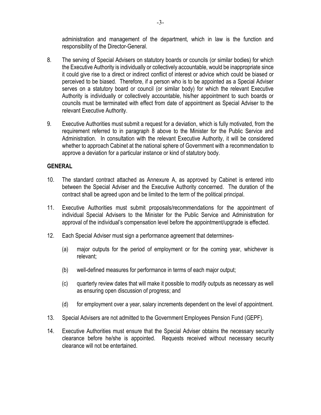administration and management of the department, which in law is the function and responsibility of the Director-General.

- 8. The serving of Special Advisers on statutory boards or councils (or similar bodies) for which the Executive Authority is individually or collectively accountable, would be inappropriate since it could give rise to a direct or indirect conflict of interest or advice which could be biased or perceived to be biased. Therefore, if a person who is to be appointed as a Special Adviser serves on a statutory board or council (or similar body) for which the relevant Executive Authority is individually or collectively accountable, his/her appointment to such boards or councils must be terminated with effect from date of appointment as Special Adviser to the relevant Executive Authority.
- 9. Executive Authorities must submit a request for a deviation, which is fully motivated, from the requirement referred to in paragraph 8 above to the Minister for the Public Service and Administration. In consultation with the relevant Executive Authority, it will be considered whether to approach Cabinet at the national sphere of Government with a recommendation to approve a deviation for a particular instance or kind of statutory body.

# **GENERAL**

- 10. The standard contract attached as Annexure A, as approved by Cabinet is entered into between the Special Adviser and the Executive Authority concerned. The duration of the contract shall be agreed upon and be limited to the term of the political principal.
- 11. Executive Authorities must submit proposals/recommendations for the appointment of individual Special Advisers to the Minister for the Public Service and Administration for approval of the individual's compensation level before the appointment/upgrade is effected.
- 12. Each Special Adviser must sign a performance agreement that determines-
	- (a) major outputs for the period of employment or for the coming year, whichever is relevant;
	- (b) well-defined measures for performance in terms of each major output;
	- (c) quarterly review dates that will make it possible to modify outputs as necessary as well as ensuring open discussion of progress; and
	- (d) for employment over a year, salary increments dependent on the level of appointment.
- 13. Special Advisers are not admitted to the Government Employees Pension Fund (GEPF).
- 14. Executive Authorities must ensure that the Special Adviser obtains the necessary security clearance before he/she is appointed. Requests received without necessary security clearance will not be entertained.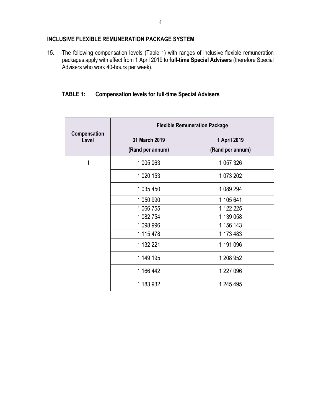# **INCLUSIVE FLEXIBLE REMUNERATION PACKAGE SYSTEM**

15. The following compensation levels (Table 1) with ranges of inclusive flexible remuneration packages apply with effect from 1 April 2019 to **full-time Special Advisers** (therefore Special Advisers who work 40-hours per week).

# **TABLE 1: Compensation levels for full-time Special Advisers**

| Compensation<br>Level | <b>Flexible Remuneration Package</b> |                                  |
|-----------------------|--------------------------------------|----------------------------------|
|                       | 31 March 2019<br>(Rand per annum)    | 1 April 2019<br>(Rand per annum) |
|                       | 1 005 063                            | 1 057 326                        |
|                       | 1 020 153                            | 1 073 202                        |
|                       | 1 035 450                            | 1 089 294                        |
|                       | 1 050 990                            | 1 105 641                        |
|                       | 1 066 755                            | 1 122 225                        |
|                       | 1 082 754                            | 1 139 058                        |
|                       | 1 098 996                            | 1 156 143                        |
|                       | 1 115 478                            | 1 173 483                        |
|                       | 1 132 221                            | 1 191 096                        |
|                       | 1 149 195                            | 1 208 952                        |
|                       | 1 166 442                            | 1 227 096                        |
|                       | 1 183 932                            | 1 245 495                        |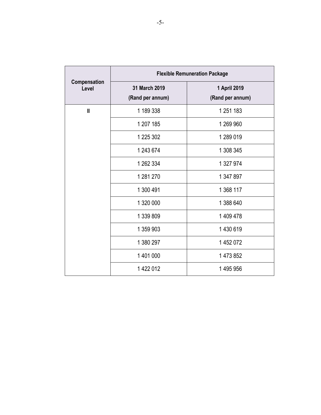| Compensation<br>Level | <b>Flexible Remuneration Package</b> |                                  |
|-----------------------|--------------------------------------|----------------------------------|
|                       | 31 March 2019<br>(Rand per annum)    | 1 April 2019<br>(Rand per annum) |
| $\mathbf{I}$          | 1 189 338                            | 1 251 183                        |
|                       | 1 207 185                            | 1 269 960                        |
|                       | 1 225 302                            | 1 289 019                        |
|                       | 1 243 674                            | 1 308 345                        |
|                       | 1 262 334                            | 1 327 974                        |
|                       | 1 281 270                            | 1 347 897                        |
|                       | 1 300 491                            | 1 368 117                        |
|                       | 1 320 000                            | 1 388 640                        |
|                       | 1 339 809                            | 1 409 478                        |
|                       | 1 359 903                            | 1 430 619                        |
|                       | 1 380 297                            | 1452072                          |
|                       | 1 401 000                            | 1 473 852                        |
|                       | 1422012                              | 1495956                          |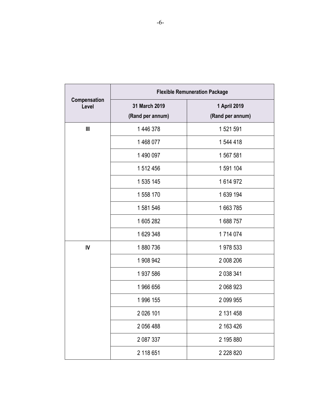| Compensation<br>Level | <b>Flexible Remuneration Package</b> |                                  |
|-----------------------|--------------------------------------|----------------------------------|
|                       | 31 March 2019<br>(Rand per annum)    | 1 April 2019<br>(Rand per annum) |
| III                   | 1 446 378                            | 1 521 591                        |
|                       | 1468077                              | 1 544 418                        |
|                       | 1490 097                             | 1 567 581                        |
|                       | 1 512 456                            | 1 591 104                        |
|                       | 1 535 145                            | 1614972                          |
|                       | 1 558 170                            | 1639 194                         |
|                       | 1 581 546                            | 1663785                          |
|                       | 1 605 282                            | 1688757                          |
|                       | 1629348                              | 1714074                          |
| IV                    | 1880736                              | 1978 533                         |
|                       | 1 908 942                            | 2 008 206                        |
|                       | 1 937 586                            | 2 038 341                        |
|                       | 1966656                              | 2 068 923                        |
|                       | 1 996 155                            | 2 099 955                        |
|                       | 2 0 26 101                           | 2 131 458                        |
|                       | 2 056 488                            | 2 163 426                        |
|                       | 2 087 337                            | 2 195 880                        |
|                       | 2 118 651                            | 2 2 2 8 8 2 0                    |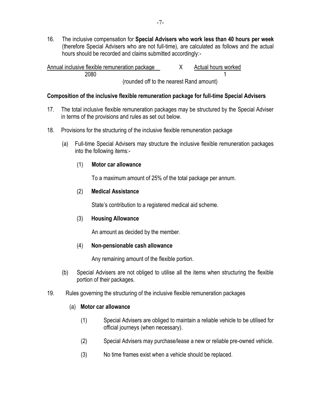16. The inclusive compensation for **Special Advisers who work less than 40 hours per week** (therefore Special Advisers who are not full-time), are calculated as follows and the actual hours should be recorded and claims submitted accordingly:-

Annual inclusive flexible remuneration package  $X$  Actual hours worked 2080 1 (rounded off to the nearest Rand amount)

#### **Composition of the inclusive flexible remuneration package for full-time Special Advisers**

- 17. The total inclusive flexible remuneration packages may be structured by the Special Adviser in terms of the provisions and rules as set out below.
- 18. Provisions for the structuring of the inclusive flexible remuneration package
	- (a) Full-time Special Advisers may structure the inclusive flexible remuneration packages into the following items:-

#### (1) **Motor car allowance**

To a maximum amount of 25% of the total package per annum.

# (2) **Medical Assistance**

State's contribution to a registered medical aid scheme.

#### (3) **Housing Allowance**

An amount as decided by the member.

#### (4) **Non-pensionable cash allowance**

Any remaining amount of the flexible portion.

- (b) Special Advisers are not obliged to utilise all the items when structuring the flexible portion of their packages.
- 19. Rules governing the structuring of the inclusive flexible remuneration packages

#### (a) **Motor car allowance**

- (1) Special Advisers are obliged to maintain a reliable vehicle to be utilised for official journeys (when necessary).
- (2) Special Advisers may purchase/lease a new or reliable pre-owned vehicle.
- (3) No time frames exist when a vehicle should be replaced.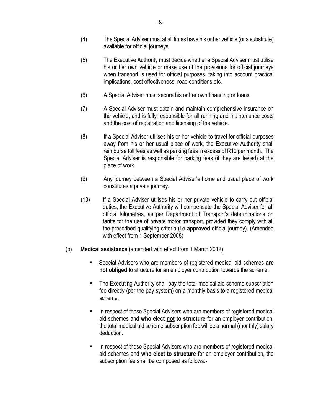- (4) The Special Adviser must at all times have his or her vehicle (or a substitute) available for official journeys.
- (5) The Executive Authority must decide whether a Special Adviser must utilise his or her own vehicle or make use of the provisions for official journeys when transport is used for official purposes, taking into account practical implications, cost effectiveness, road conditions etc.
- (6) A Special Adviser must secure his or her own financing or loans.
- (7) A Special Adviser must obtain and maintain comprehensive insurance on the vehicle, and is fully responsible for all running and maintenance costs and the cost of registration and licensing of the vehicle.
- (8) If a Special Adviser utilises his or her vehicle to travel for official purposes away from his or her usual place of work, the Executive Authority shall reimburse toll fees as well as parking fees in excess of R10 per month. The Special Adviser is responsible for parking fees (if they are levied) at the place of work.
- (9) Any journey between a Special Adviser's home and usual place of work constitutes a private journey.
- (10) If a Special Adviser utilises his or her private vehicle to carry out official duties, the Executive Authority will compensate the Special Adviser for **all**  official kilometres, as per Department of Transport's determinations on tariffs for the use of private motor transport, provided they comply with all the prescribed qualifying criteria (i.e **approved** official journey). (Amended with effect from 1 September 2008)
- (b) **Medical assistance (**amended with effect from 1 March 2012**)**
	- Special Advisers who are members of registered medical aid schemes **are not obliged** to structure for an employer contribution towards the scheme.
	- The Executing Authority shall pay the total medical aid scheme subscription fee directly (per the pay system) on a monthly basis to a registered medical scheme.
	- In respect of those Special Advisers who are members of registered medical aid schemes and **who elect not to structure** for an employer contribution, the total medical aid scheme subscription fee will be a normal (monthly) salary deduction.
	- In respect of those Special Advisers who are members of registered medical aid schemes and **who elect to structure** for an employer contribution, the subscription fee shall be composed as follows:-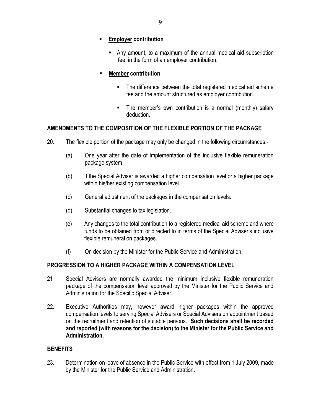- **Employer contribution**
	- Any amount, to a maximum of the annual medical aid subscription fee, in the form of an employer contribution.
- **Member contribution**
	- The difference between the total registered medical aid scheme fee and the amount structured as employer contribution.
	- The member's own contribution is a normal (monthly) salary deduction.

# **AMENDMENTS TO THE COMPOSITION OF THE FLEXIBLE PORTION OF THE PACKAGE**

- 20. The flexible portion of the package may only be changed in the following circumstances:-
	- (a) One year after the date of implementation of the inclusive flexible remuneration package system.
	- (b) If the Special Adviser is awarded a higher compensation level or a higher package within his/her existing compensation level.
	- (c) General adjustment of the packages in the compensation levels.
	- (d) Substantial changes to tax legislation.
	- (e) Any changes to the total contribution to a registered medical aid scheme and where funds to be obtained from or directed to in terms of the Special Adviser's inclusive flexible remuneration packages.
	- (f) On decision by the Minister for the Public Service and Administration.

# **PROGRESSION TO A HIGHER PACKAGE WITHIN A COMPENSATION LEVEL**

- 21 Special Advisers are normally awarded the minimum inclusive flexible remuneration package of the compensation level approved by the Minister for the Public Service and Administration for the Specific Special Adviser.
- 22. Executive Authorities may, however award higher packages within the approved compensation levels to serving Special Advisers or Special Advisers on appointment based on the recruitment and retention of suitable persons. **Such decisions shall be recorded and reported (with reasons for the decision) to the Minister for the Public Service and Administration.**

# **BENEFITS**

23. Determination on leave of absence in the Public Service with effect from 1 July 2009, made by the Minister for the Public Service and Administration.